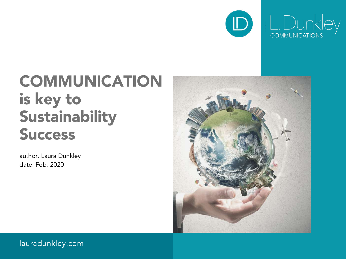

# COMMUNICATION is key to Sustainability Success

author. Laura Dunkley date. Feb. 2020



lauradunkley.com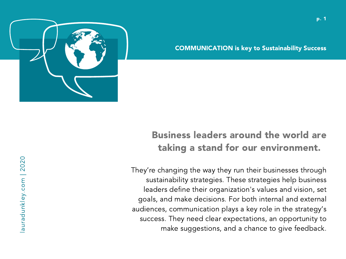

COMMUNICATION is key to Sustainability Success

# Business leaders around the world are taking a stand for our environment.

They're changing the way they run their businesses through sustainability strategies. These strategies help business leaders define their organization's values and vision, set goals, and make decisions. For both internal and external audiences, communication plays a key role in the strategy's success. They need clear expectations, an opportunity to make suggestions, and a chance to give feedback.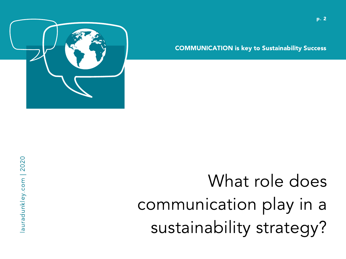

COMMUNICATION is key to Sustainability Success

# What role does communication play in a sustainability strategy?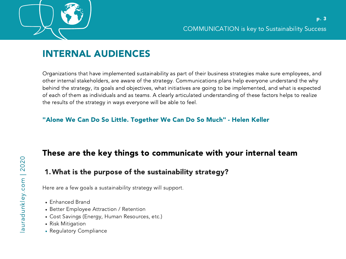

## INTERNAL AUDIENCES

Organizations that have implemented sustainability as part of their business strategies make sure employees, and other internal stakeholders, are aware of the strategy. Communications plans help everyone understand the why behind the strategy, its goals and objectives, what initiatives are going to be implemented, and what is expected of each of them as individuals and as teams. A clearly articulated understanding of these factors helps to realize the results of the strategy in ways everyone will be able to feel.

#### "Alone We Can Do So Little. Together We Can Do So Much" - Helen Keller

## These are the key things to communicate with your internal team

## What is the purpose of the sustainability strategy? 1.

Here are a few goals a sustainability strategy will support.

- Enhanced Brand
- Better Employee Attraction / Retention
- Cost Savings (Energy, Human Resources, etc.)
- Risk Mitigation
- Regulatory Compliance

 $\overline{\omega}$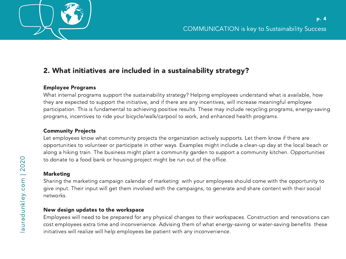

### 2. What initiatives are included in a sustainability strategy?

#### Employee Programs

What internal programs support the sustainability strategy? Helping employees understand what is available, how they are expected to support the initiative, and if there are any incentives, will increase meaningful employee participation. This is fundamental to achieving positive results. These may include recycling programs, energy-saving programs, incentives to ride your bicycle/walk/carpool to work, and enhanced health programs.

#### Community Projects

Let employees know what community projects the organization actively supports. Let them know if there are opportunities to volunteer or participate in other ways. Examples might include a clean-up day at the local beach or along a hiking train. The business might plant a community garden to support a community kitchen. Opportunities to donate to a food bank or housing project might be run out of the office.

#### Marketing

Sharing the marketing campaign calendar of marketing with your employees should come with the opportunity to give input. Their input will get them involved with the campaigns, to generate and share content with their social networks.

#### New design updates to the workspace

Employees will need to be prepared for any physical changes to their workspaces. Construction and renovations can cost employees extra time and inconvenience. Advising them of what energy-saving or water-saving benefits these initiatives will realize will help employees be patient with any inconvenience.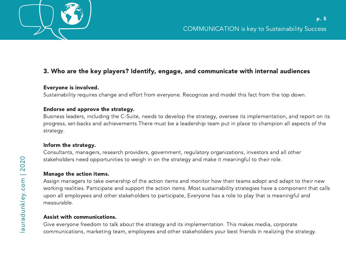### 3. Who are the key players? Identify, engage, and communicate with internal audiences

#### Everyone is involved.

Sustainability requires change and effort from everyone. Recognize and model this fact from the top down.

#### Endorse and approve the strategy.

Business leaders, including the C-Suite, needs to develop the strategy, oversee its implementation, and report on its progress, set-backs and achievements.There must be a leadership team put in place to champion all aspects of the strategy.

#### Inform the strategy.

Consultants, managers, research providers, government, regulatory organizations, investors and all other stakeholders need opportunities to weigh in on the strategy and make it meaningful to their role.

#### Manage the action items.

Assign managers to take ownership of the action items and monitor how their teams adopt and adapt to their new working realities. Participate and support the action items. Most sustainability strategies have a component that calls upon all employees and other stakeholders to participate, Everyone has a role to play that is meaningful and measurable.

#### Assist with communications.

Give everyone freedom to talk about the strategy and its implementation. This makes media, corporate communications, marketing team, employees and other stakeholders your best friends in realizing the strategy.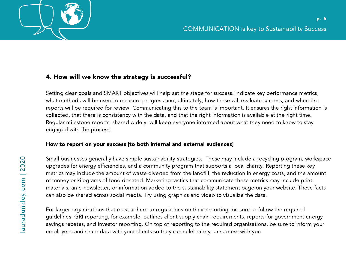

#### 4. How will we know the strategy is successful?

Setting clear goals and SMART objectives will help set the stage for success. Indicate key performance metrics, what methods will be used to measure progress and, ultimately, how these will evaluate success, and when the reports will be required for review. Communicating this to the team is important. It ensures the right information is collected, that there is consistency with the data, and that the right information is available at the right time. Regular milestone reports, shared widely, will keep everyone informed about what they need to know to stay engaged with the process.

#### How to report on your success [to both internal and external audiences]

Small businesses generally have simple sustainability strategies. These may include a recycling program, workspace upgrades for energy efficiencies, and a community program that supports a local charity. Reporting these key metrics may include the amount of waste diverted from the landfill, the reduction in energy costs, and the amount of money or kilograms of food donated. Marketing tactics that communicate these metrics may include print materials, an e-newsletter, or information added to the sustainability statement page on your website. These facts can also be shared across social media. Try using graphics and video to visualize the data.

For larger organizations that must adhere to regulations on their reporting, be sure to follow the required guidelines. GRI reporting, for example, outlines client supply chain requirements, reports for government energy savings rebates, and investor reporting. On top of reporting to the required organizations, be sure to inform your employees and share data with your clients so they can celebrate your success with you.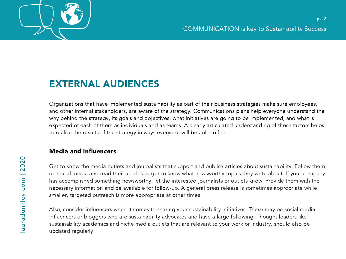

# EXTERNAL AUDIENCES

Organizations that have implemented sustainability as part of their business strategies make sure employees, and other internal stakeholders, are aware of the strategy. Communications plans help everyone understand the why behind the strategy, its goals and objectives, what initiatives are going to be implemented, and what is expected of each of them as individuals and as teams. A clearly articulated understanding of these factors helps to realize the results of the strategy in ways everyone will be able to feel.

#### Media and Influencers

Get to know the media outlets and journalists that support and publish articles about sustainability. Follow them on social media and read their articles to get to know what newsworthy topics they write about. If your company has accomplished something newsworthy, let the interested journalists or outlets know. Provide them with the necessary information and be available for follow-up. A general press release is sometimes appropriate while smaller, targeted outreach is more appropriate at other times.

Also, consider influencers when it comes to sharing your sustainability initiatives. These may be social media influencers or bloggers who are sustainability advocates and have a large following. Thought leaders like sustainability academics and niche media outlets that are relevant to your work or industry, should also be updated regularly.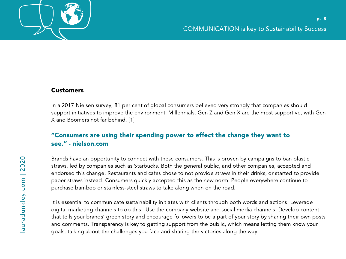

#### **Customers**

In a 2017 Nielsen survey, 81 per cent of global consumers believed very strongly that companies should support initiatives to improve the environment. Millennials, Gen Z and Gen X are the most supportive, with Gen X and Boomers not far behind. [1]

#### "Consumers are using their spending power to effect the change they want to see." - nielson.com

Brands have an opportunity to connect with these consumers. This is proven by campaigns to ban plastic straws, led by companies such as Starbucks. Both the general public, and other companies, accepted and endorsed this change. Restaurants and cafes chose to not provide straws in their drinks, or started to provide paper straws instead. Consumers quickly accepted this as the new norm. People everywhere continue to purchase bamboo or stainless-steel straws to take along when on the road.

It is essential to communicate sustainability initiates with clients through both words and actions. Leverage digital marketing channels to do this. Use the company website and social media channels. Develop content that tells your brands' green story and encourage followers to be a part of your story by sharing their own posts and comments. Transparency is key to getting support from the public, which means letting them know your goals, talking about the challenges you face and sharing the victories along the way.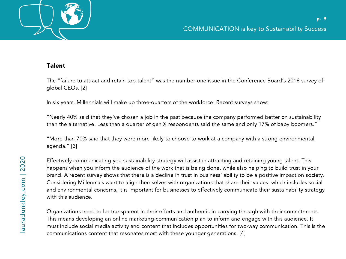

#### Talent

The "failure to attract and retain top talent" was the number-one issue in the Conference Board's 2016 survey of global CEOs. [2]

In six years, Millennials will make up three-quarters of the workforce. Recent surveys show:

"Nearly 40% said that they've chosen a job in the past because the company performed better on sustainability than the alternative. Less than a quarter of gen X respondents said the same and only 17% of baby boomers."

"More than 70% said that they were more likely to choose to work at a company with a strong environmental agenda." [3]

Effectively communicating you sustainability strategy will assist in attracting and retaining young talent. This happens when you inform the audience of the work that is being done, while also helping to build trust in your brand. A recent survey shows that there is a decline in trust in business' ability to be a positive impact on society. Considering Millennials want to align themselves with organizations that share their values, which includes social and environmental concerns, it is important for businesses to effectively communicate their sustainability strategy with this audience.

Organizations need to be transparent in their efforts and authentic in carrying through with their commitments. This means developing an online marketing-communication plan to inform and engage with this audience. It must include social media activity and content that includes opportunities for two-way communication. This is the communications content that resonates most with these younger generations. [4]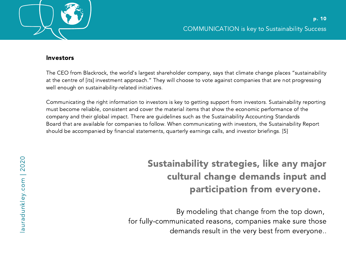

#### Investors

The CEO from Blackrock, the world's largest shareholder company, says that climate change places "sustainability at the centre of [its] investment approach." They will choose to vote against companies that are not progressing well enough on sustainability-related initiatives.

Communicating the right information to investors is key to getting support from investors. Sustainability reporting must become reliable, consistent and cover the material items that show the economic performance of the company and their global impact. There are guidelines such as the Sustainability Accounting Standards Board that are available for companies to follow. When communicating with investors, the Sustainability Report should be accompanied by financial statements, quarterly earnings calls, and investor briefings. [5]

# Sustainability strategies, like any major cultural change demands input and participation from everyone.

By modeling that change from the top down, for fully-communicated reasons, companies make sure those demands result in the very best from everyone..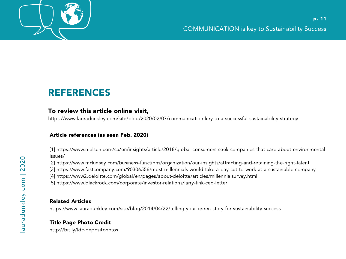

# REFERENCES

#### To review this article online visit,

https://www.lauradunkley.com/site/blog/2020/02/07/communication-key-to-a-successful-sustainability-strategy

#### Article references (as seen Feb. 2020)

[1] https://www.nielsen.com/ca/en/insights/article/2018/global-consumers-seek-companies-that-care-about-environmentalissues/

[2] https://www.mckinsey.com/business-functions/organization/our-insights/attracting-and-retaining-the-right-talent

[3] https://www.fastcompany.com/90306556/most-millennials-would-take-a-pay-cut-to-work-at-a-sustainable-company

[4] https://www2.deloitte.com/global/en/pages/about-deloitte/articles/millennialsurvey.html

[5] https://www.blackrock.com/corporate/investor-relations/larry-fink-ceo-letter

#### Related Articles

https://www.lauradunkley.com/site/blog/2014/04/22/telling-your-green-story-for-sustainability-success

#### Title Page Photo Credit

http://bit.ly/ldc-depositphotos